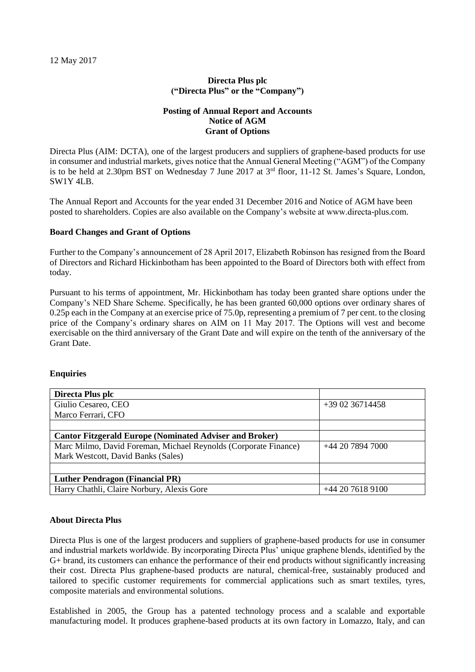12 May 2017

## **Directa Plus plc ("Directa Plus" or the "Company")**

### **Posting of Annual Report and Accounts Notice of AGM Grant of Options**

Directa Plus (AIM: DCTA), one of the largest producers and suppliers of graphene-based products for use in consumer and industrial markets, gives notice that the Annual General Meeting ("AGM") of the Company is to be held at 2.30pm BST on Wednesday 7 June 2017 at 3<sup>rd</sup> floor, 11-12 St. James's Square, London, SW1Y 4LB.

The Annual Report and Accounts for the year ended 31 December 2016 and Notice of AGM have been posted to shareholders. Copies are also available on the Company's website at www.directa-plus.com.

### **Board Changes and Grant of Options**

Further to the Company's announcement of 28 April 2017, Elizabeth Robinson has resigned from the Board of Directors and Richard Hickinbotham has been appointed to the Board of Directors both with effect from today.

Pursuant to his terms of appointment, Mr. Hickinbotham has today been granted share options under the Company's NED Share Scheme. Specifically, he has been granted 60,000 options over ordinary shares of 0.25p each in the Company at an exercise price of 75.0p, representing a premium of 7 per cent. to the closing price of the Company's ordinary shares on AIM on 11 May 2017. The Options will vest and become exercisable on the third anniversary of the Grant Date and will expire on the tenth of the anniversary of the Grant Date.

### **Enquiries**

| Directa Plus plc                                                |                 |  |
|-----------------------------------------------------------------|-----------------|--|
| Giulio Cesareo, CEO                                             | $+390236714458$ |  |
| Marco Ferrari, CFO                                              |                 |  |
|                                                                 |                 |  |
| <b>Cantor Fitzgerald Europe (Nominated Adviser and Broker)</b>  |                 |  |
| Marc Milmo, David Foreman, Michael Reynolds (Corporate Finance) | $+442078947000$ |  |
| Mark Westcott, David Banks (Sales)                              |                 |  |
|                                                                 |                 |  |
| <b>Luther Pendragon (Financial PR)</b>                          |                 |  |
| Harry Chathli, Claire Norbury, Alexis Gore                      | $+442076189100$ |  |

#### **About Directa Plus**

Directa Plus is one of the largest producers and suppliers of graphene-based products for use in consumer and industrial markets worldwide. By incorporating Directa Plus' unique graphene blends, identified by the G+ brand, its customers can enhance the performance of their end products without significantly increasing their cost. Directa Plus graphene-based products are natural, chemical-free, sustainably produced and tailored to specific customer requirements for commercial applications such as smart textiles, tyres, composite materials and environmental solutions.

Established in 2005, the Group has a patented technology process and a scalable and exportable manufacturing model. It produces graphene-based products at its own factory in Lomazzo, Italy, and can